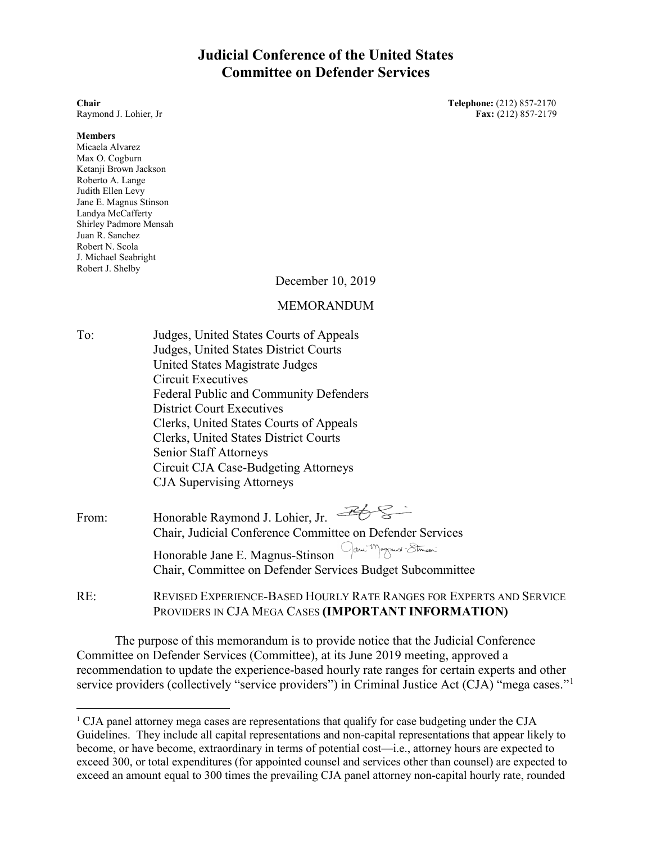# **Judicial Conference of the United States Committee on Defender Services**

#### **Members**

Micaela Alvarez Max O. Cogburn Ketanji Brown Jackson Roberto A. Lange Judith Ellen Levy Jane E. Magnus Stinson Landya McCafferty Shirley Padmore Mensah Juan R. Sanchez Robert N. Scola J. Michael Seabright Robert J. Shelby

December 10, 2019

## MEMORANDUM

To: Judges, United States Courts of Appeals Judges, United States District Courts United States Magistrate Judges Circuit Executives Federal Public and Community Defenders District Court Executives Clerks, United States Courts of Appeals Clerks, United States District Courts Senior Staff Attorneys Circuit CJA Case-Budgeting Attorneys CJA Supervising Attorneys

From: Honorable Raymond J. Lohier, Jr. Chair, Judicial Conference Committee on Defender Services Honorable Jane E. Magnus-Stinson Jan Magnus Ethani Chair, Committee on Defender Services Budget Subcommittee

RE: REVISED EXPERIENCE-BASED HOURLY RATE RANGES FOR EXPERTS AND SERVICE PROVIDERS IN CJA MEGA CASES **(IMPORTANT INFORMATION)**

The purpose of this memorandum is to provide notice that the Judicial Conference Committee on Defender Services (Committee), at its June 2019 meeting, approved a recommendation to update the experience-based hourly rate ranges for certain experts and other service providers (collectively "service providers") in Criminal Justice Act (CJA) "mega cases."<sup>[1](#page-0-0)</sup>

**Chair Telephone:** (212) 857-2170 Raymond J. Lohier, Jr **Fax:** (212) 857-2179

<span id="page-0-0"></span> <sup>1</sup> CJA panel attorney mega cases are representations that qualify for case budgeting under the CJA Guidelines. They include all capital representations and non-capital representations that appear likely to become, or have become, extraordinary in terms of potential cost—i.e., attorney hours are expected to exceed 300, or total expenditures (for appointed counsel and services other than counsel) are expected to exceed an amount equal to 300 times the prevailing CJA panel attorney non-capital hourly rate, rounded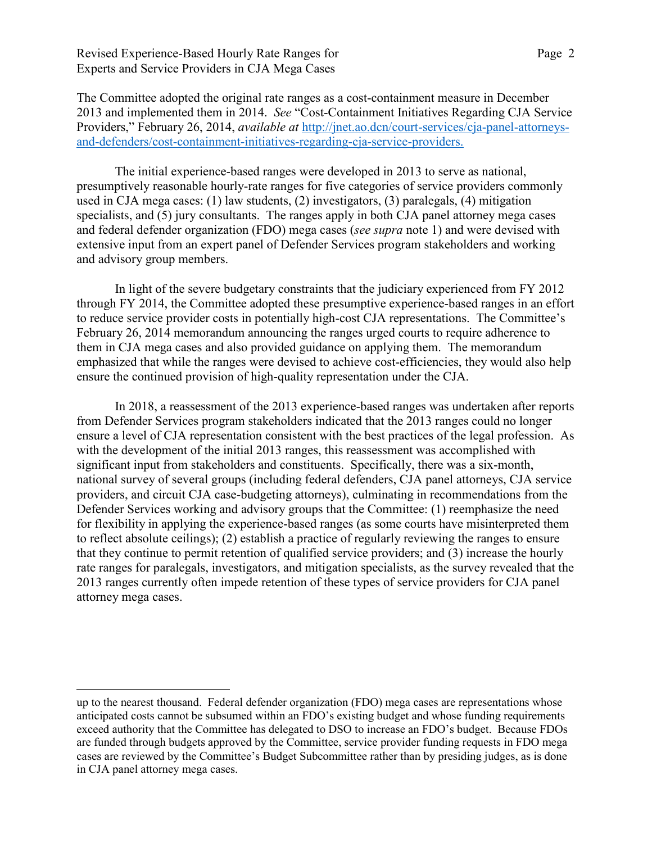Revised Experience-Based Hourly Rate Ranges for Page 2 Experts and Service Providers in CJA Mega Cases

The Committee adopted the original rate ranges as a cost-containment measure in December 2013 and implemented them in 2014. *See* "Cost-Containment Initiatives Regarding CJA Service Providers," February 26, 2014, *available at* [http://jnet.ao.dcn/court-services/cja-panel-attorneys](http://jnet.ao.dcn/court-services/cja-panel-attorneys-and-defenders/cost-containment-initiatives-regarding-cja-service-providers)[and-defenders/cost-containment-initiatives-regarding-cja-service-providers.](http://jnet.ao.dcn/court-services/cja-panel-attorneys-and-defenders/cost-containment-initiatives-regarding-cja-service-providers)

The initial experience-based ranges were developed in 2013 to serve as national, presumptively reasonable hourly-rate ranges for five categories of service providers commonly used in CJA mega cases: (1) law students, (2) investigators, (3) paralegals, (4) mitigation specialists, and (5) jury consultants. The ranges apply in both CJA panel attorney mega cases and federal defender organization (FDO) mega cases (*see supra* note 1) and were devised with extensive input from an expert panel of Defender Services program stakeholders and working and advisory group members.

In light of the severe budgetary constraints that the judiciary experienced from FY 2012 through FY 2014, the Committee adopted these presumptive experience-based ranges in an effort to reduce service provider costs in potentially high-cost CJA representations. The Committee's February 26, 2014 memorandum announcing the ranges urged courts to require adherence to them in CJA mega cases and also provided guidance on applying them. The memorandum emphasized that while the ranges were devised to achieve cost-efficiencies, they would also help ensure the continued provision of high-quality representation under the CJA.

In 2018, a reassessment of the 2013 experience-based ranges was undertaken after reports from Defender Services program stakeholders indicated that the 2013 ranges could no longer ensure a level of CJA representation consistent with the best practices of the legal profession. As with the development of the initial 2013 ranges, this reassessment was accomplished with significant input from stakeholders and constituents. Specifically, there was a six-month, national survey of several groups (including federal defenders, CJA panel attorneys, CJA service providers, and circuit CJA case-budgeting attorneys), culminating in recommendations from the Defender Services working and advisory groups that the Committee: (1) reemphasize the need for flexibility in applying the experience-based ranges (as some courts have misinterpreted them to reflect absolute ceilings); (2) establish a practice of regularly reviewing the ranges to ensure that they continue to permit retention of qualified service providers; and (3) increase the hourly rate ranges for paralegals, investigators, and mitigation specialists, as the survey revealed that the 2013 ranges currently often impede retention of these types of service providers for CJA panel attorney mega cases.

 $\overline{a}$ 

up to the nearest thousand. Federal defender organization (FDO) mega cases are representations whose anticipated costs cannot be subsumed within an FDO's existing budget and whose funding requirements exceed authority that the Committee has delegated to DSO to increase an FDO's budget. Because FDOs are funded through budgets approved by the Committee, service provider funding requests in FDO mega cases are reviewed by the Committee's Budget Subcommittee rather than by presiding judges, as is done in CJA panel attorney mega cases.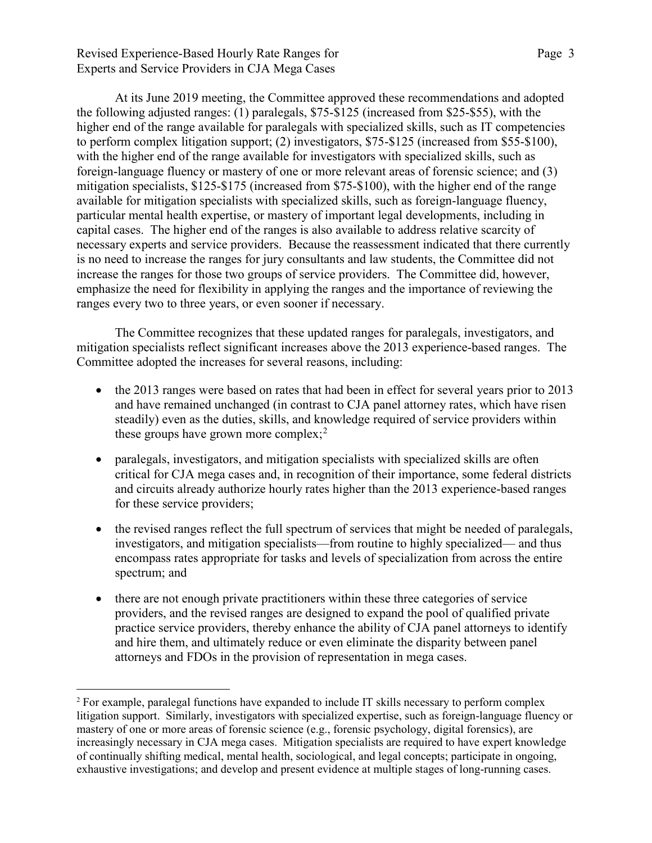Revised Experience-Based Hourly Rate Ranges for Page 3 Experts and Service Providers in CJA Mega Cases

At its June 2019 meeting, the Committee approved these recommendations and adopted the following adjusted ranges: (1) paralegals, \$75-\$125 (increased from \$25-\$55), with the higher end of the range available for paralegals with specialized skills, such as IT competencies to perform complex litigation support; (2) investigators, \$75-\$125 (increased from \$55-\$100), with the higher end of the range available for investigators with specialized skills, such as foreign-language fluency or mastery of one or more relevant areas of forensic science; and (3) mitigation specialists, \$125-\$175 (increased from \$75-\$100), with the higher end of the range available for mitigation specialists with specialized skills, such as foreign-language fluency, particular mental health expertise, or mastery of important legal developments, including in capital cases. The higher end of the ranges is also available to address relative scarcity of necessary experts and service providers. Because the reassessment indicated that there currently is no need to increase the ranges for jury consultants and law students, the Committee did not increase the ranges for those two groups of service providers. The Committee did, however, emphasize the need for flexibility in applying the ranges and the importance of reviewing the ranges every two to three years, or even sooner if necessary.

The Committee recognizes that these updated ranges for paralegals, investigators, and mitigation specialists reflect significant increases above the 2013 experience-based ranges. The Committee adopted the increases for several reasons, including:

- the 2013 ranges were based on rates that had been in effect for several years prior to 2013 and have remained unchanged (in contrast to CJA panel attorney rates, which have risen steadily) even as the duties, skills, and knowledge required of service providers within these groups have grown more complex;<sup>[2](#page-2-0)</sup>
- paralegals, investigators, and mitigation specialists with specialized skills are often critical for CJA mega cases and, in recognition of their importance, some federal districts and circuits already authorize hourly rates higher than the 2013 experience-based ranges for these service providers;
- the revised ranges reflect the full spectrum of services that might be needed of paralegals, investigators, and mitigation specialists—from routine to highly specialized— and thus encompass rates appropriate for tasks and levels of specialization from across the entire spectrum; and
- there are not enough private practitioners within these three categories of service providers, and the revised ranges are designed to expand the pool of qualified private practice service providers, thereby enhance the ability of CJA panel attorneys to identify and hire them, and ultimately reduce or even eliminate the disparity between panel attorneys and FDOs in the provision of representation in mega cases.

<span id="page-2-0"></span> <sup>2</sup> For example, paralegal functions have expanded to include IT skills necessary to perform complex litigation support. Similarly, investigators with specialized expertise, such as foreign-language fluency or mastery of one or more areas of forensic science (e.g., forensic psychology, digital forensics), are increasingly necessary in CJA mega cases. Mitigation specialists are required to have expert knowledge of continually shifting medical, mental health, sociological, and legal concepts; participate in ongoing, exhaustive investigations; and develop and present evidence at multiple stages of long-running cases.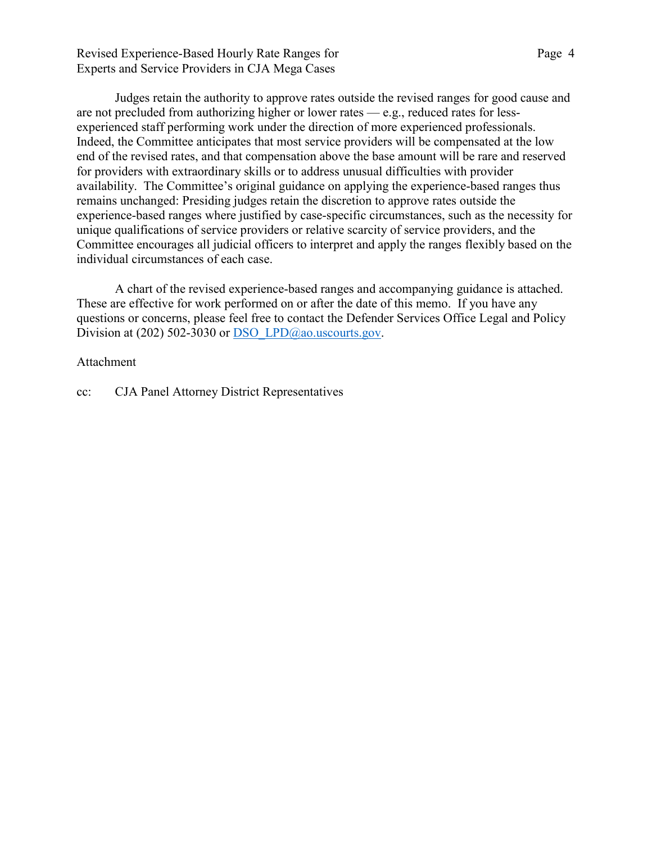Revised Experience-Based Hourly Rate Ranges for Page 4 Experts and Service Providers in CJA Mega Cases

Judges retain the authority to approve rates outside the revised ranges for good cause and are not precluded from authorizing higher or lower rates — e.g., reduced rates for lessexperienced staff performing work under the direction of more experienced professionals. Indeed, the Committee anticipates that most service providers will be compensated at the low end of the revised rates, and that compensation above the base amount will be rare and reserved for providers with extraordinary skills or to address unusual difficulties with provider availability. The Committee's original guidance on applying the experience-based ranges thus remains unchanged: Presiding judges retain the discretion to approve rates outside the experience-based ranges where justified by case-specific circumstances, such as the necessity for unique qualifications of service providers or relative scarcity of service providers, and the Committee encourages all judicial officers to interpret and apply the ranges flexibly based on the individual circumstances of each case.

A chart of the revised experience-based ranges and accompanying guidance is attached. These are effective for work performed on or after the date of this memo. If you have any questions or concerns, please feel free to contact the Defender Services Office Legal and Policy Division at (202) 502-3030 or DSO LPD@ao.uscourts.gov.

### Attachment

cc: CJA Panel Attorney District Representatives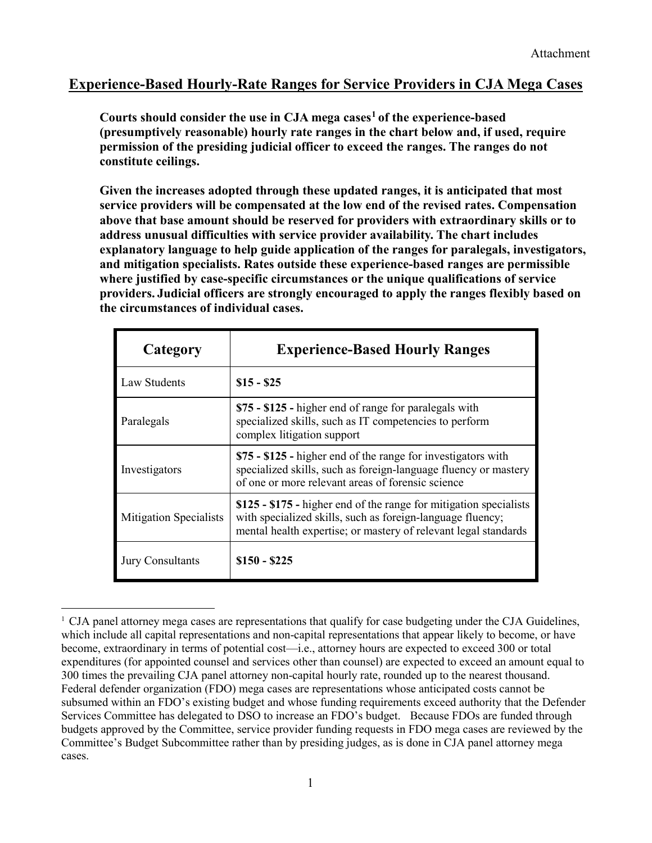# **Experience-Based Hourly-Rate Ranges for Service Providers in CJA Mega Cases**

**Courts should consider the use in CJA mega cases[1](#page-4-0) of the experience-based (presumptively reasonable) hourly rate ranges in the chart below and, if used, require permission of the presiding judicial officer to exceed the ranges. The ranges do not constitute ceilings.** 

**Given the increases adopted through these updated ranges, it is anticipated that most service providers will be compensated at the low end of the revised rates. Compensation above that base amount should be reserved for providers with extraordinary skills or to address unusual difficulties with service provider availability. The chart includes explanatory language to help guide application of the ranges for paralegals, investigators, and mitigation specialists. Rates outside these experience-based ranges are permissible where justified by case-specific circumstances or the unique qualifications of service providers. Judicial officers are strongly encouraged to apply the ranges flexibly based on the circumstances of individual cases.**

| Category                      | <b>Experience-Based Hourly Ranges</b>                                                                                                                                                               |
|-------------------------------|-----------------------------------------------------------------------------------------------------------------------------------------------------------------------------------------------------|
| Law Students                  | $$15 - $25$                                                                                                                                                                                         |
| Paralegals                    | \$75 - \$125 - higher end of range for paralegals with<br>specialized skills, such as IT competencies to perform<br>complex litigation support                                                      |
| Investigators                 | \$75 - \$125 - higher end of the range for investigators with<br>specialized skills, such as foreign-language fluency or mastery<br>of one or more relevant areas of forensic science               |
| <b>Mitigation Specialists</b> | \$125 - \$175 - higher end of the range for mitigation specialists<br>with specialized skills, such as foreign-language fluency;<br>mental health expertise; or mastery of relevant legal standards |
| <b>Jury Consultants</b>       | $$150 - $225$                                                                                                                                                                                       |

<span id="page-4-0"></span> <sup>1</sup> CJA panel attorney mega cases are representations that qualify for case budgeting under the CJA Guidelines, which include all capital representations and non-capital representations that appear likely to become, or have become, extraordinary in terms of potential cost—i.e., attorney hours are expected to exceed 300 or total expenditures (for appointed counsel and services other than counsel) are expected to exceed an amount equal to 300 times the prevailing CJA panel attorney non-capital hourly rate, rounded up to the nearest thousand. Federal defender organization (FDO) mega cases are representations whose anticipated costs cannot be subsumed within an FDO's existing budget and whose funding requirements exceed authority that the Defender Services Committee has delegated to DSO to increase an FDO's budget. Because FDOs are funded through budgets approved by the Committee, service provider funding requests in FDO mega cases are reviewed by the Committee's Budget Subcommittee rather than by presiding judges, as is done in CJA panel attorney mega cases.